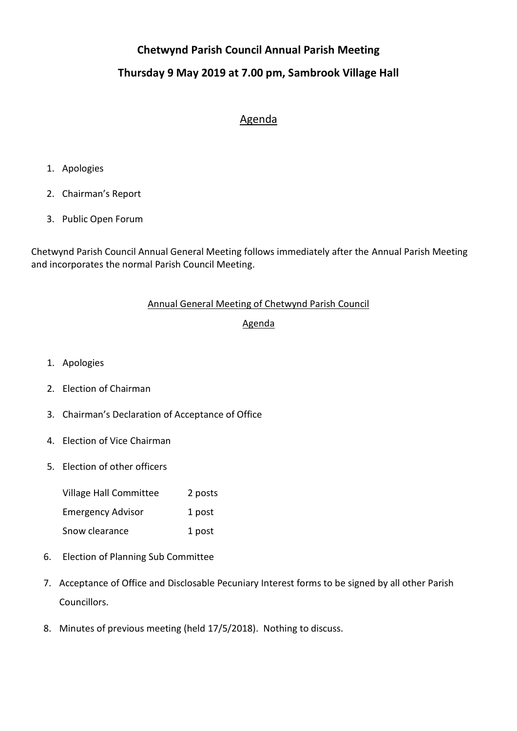# **Chetwynd Parish Council Annual Parish Meeting**

# **Thursday 9 May 2019 at 7.00 pm, Sambrook Village Hall**

## Agenda

- 1. Apologies
- 2. Chairman's Report
- 3. Public Open Forum

Chetwynd Parish Council Annual General Meeting follows immediately after the Annual Parish Meeting and incorporates the normal Parish Council Meeting.

### Annual General Meeting of Chetwynd Parish Council

### Agenda

- 1. Apologies
- 2. Election of Chairman
- 3. Chairman's Declaration of Acceptance of Office
- 4. Election of Vice Chairman
- 5. Election of other officers

| Village Hall Committee   | 2 posts |
|--------------------------|---------|
| <b>Emergency Advisor</b> | 1 post  |
| Snow clearance           | 1 post  |

- 6. Election of Planning Sub Committee
- 7. Acceptance of Office and Disclosable Pecuniary Interest forms to be signed by all other Parish Councillors.
- 8. Minutes of previous meeting (held 17/5/2018). Nothing to discuss.